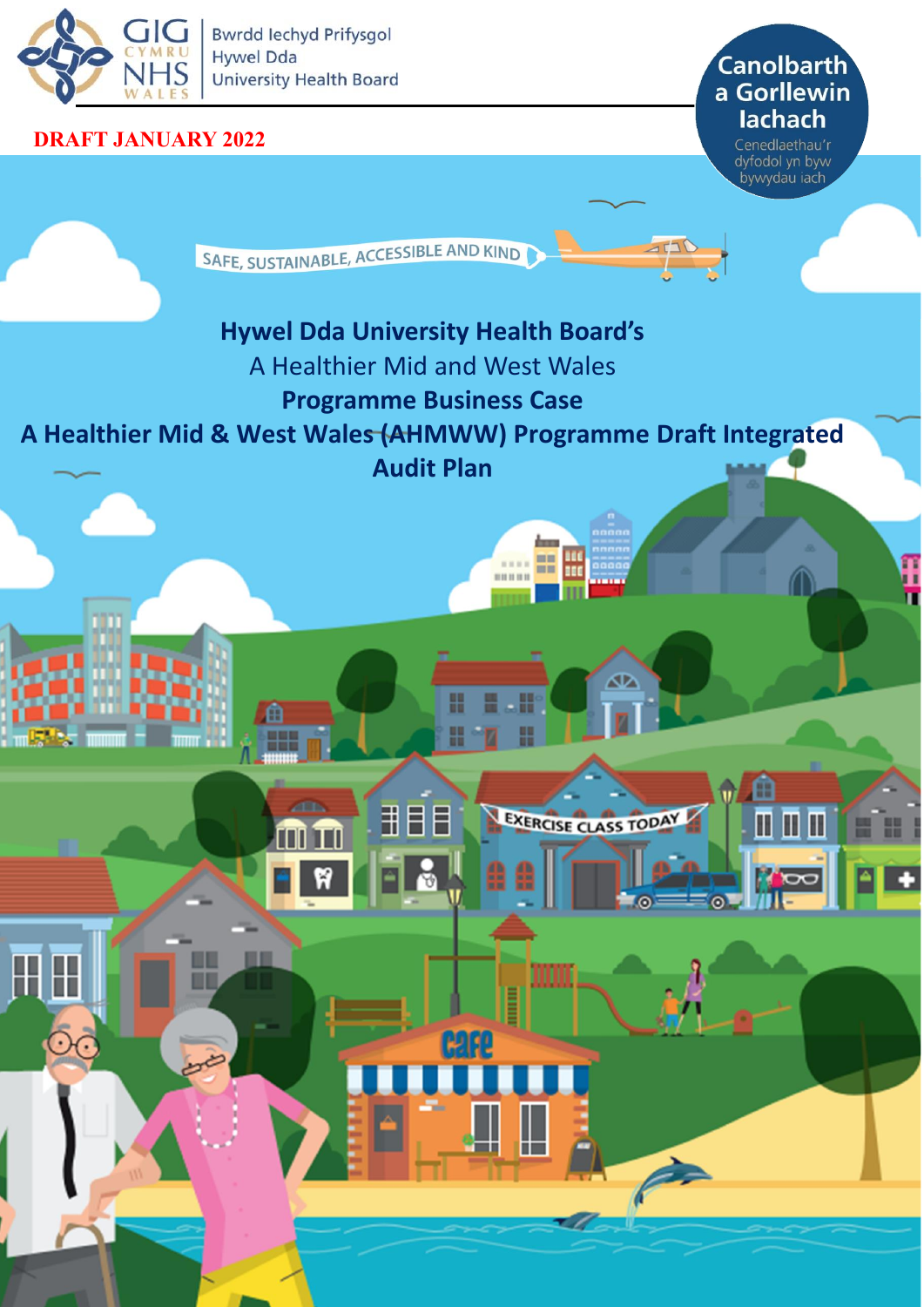

**Bwrdd lechyd Prifysgol** EXAIRU | Hywel Dda<br>
VALES | University Health Board<br>
VALES | University Health Board

甬

œ

П

mm

#### **DRAFT JANUARY 2022**

# lachach

Cenedlaethau'r dyfodol yn byw bywydau iach

> m П

SAFE, SUSTAINABLE, ACCESSIBLE AND KIND

# **Hywel Dda University Health Board's**

用

**AB** 

- A Healthier Mid and West Wales
	- **Programme Business Case**

### **A Healthier Mid & West Wales (AHMWW) Programme Draft Integrated**

**Audit Plan**

.... == <u>\\\</u>

 $\sigma$ 

EXERCISE CLASS TODAY

**BURB** 

NWSSP Audit and Assurance Services 1980 Audit and Assurance Services 1980 Audit and Assurance Services 1980 Au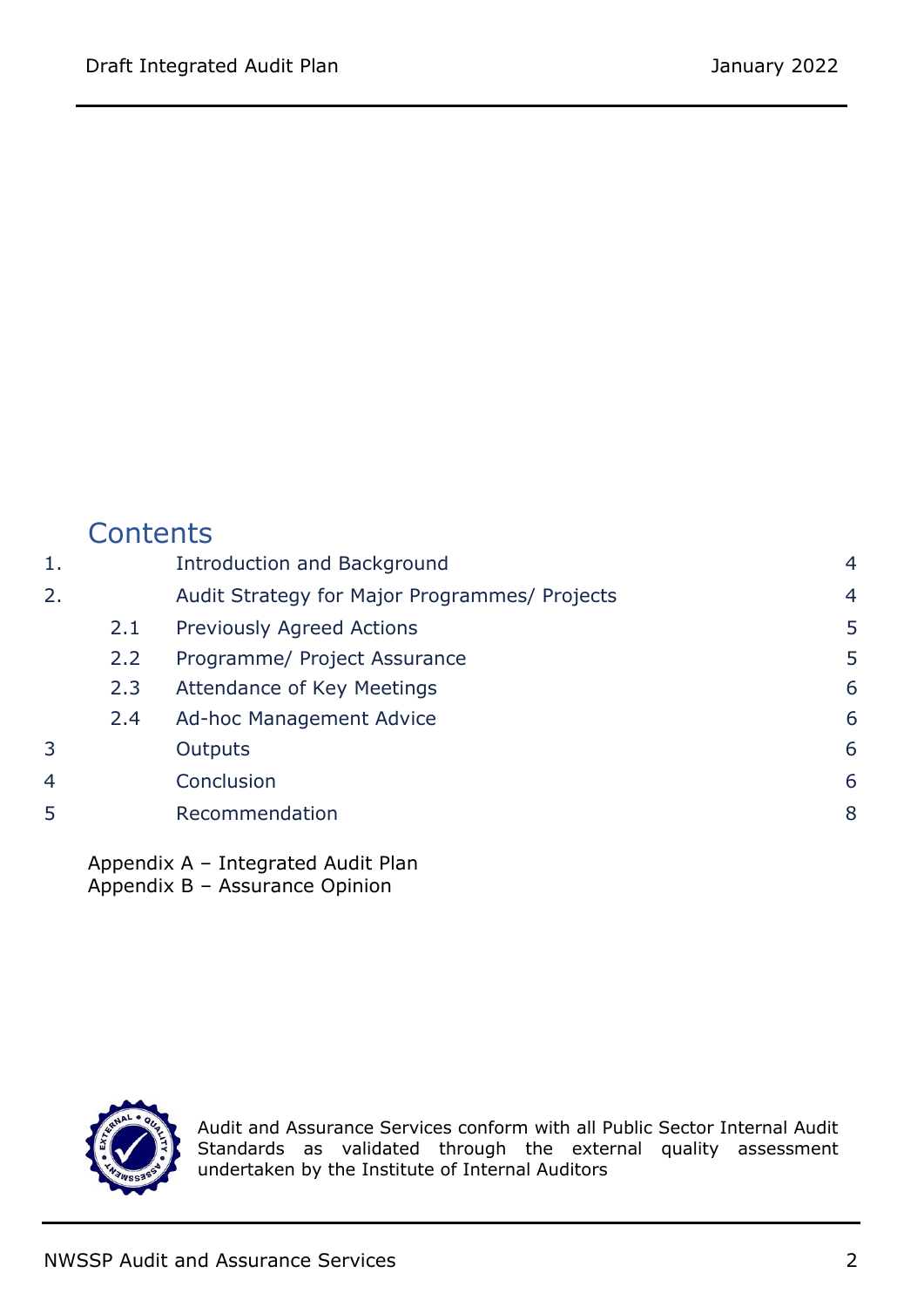|    | Contents |                                               |                |
|----|----------|-----------------------------------------------|----------------|
| 1. |          | Introduction and Background                   | $\overline{4}$ |
| 2. |          | Audit Strategy for Major Programmes/ Projects | $\overline{4}$ |
|    | 2.1      | <b>Previously Agreed Actions</b>              | 5              |
|    | 2.2      | Programme/ Project Assurance                  | 5              |
|    | 2.3      | Attendance of Key Meetings                    | 6              |
|    | 2.4      | Ad-hoc Management Advice                      | 6              |
| 3  |          | Outputs                                       | 6              |
| 4  |          | Conclusion                                    | 6              |
| 5  |          | Recommendation                                | 8              |
|    |          |                                               |                |

Appendix A – Integrated Audit Plan Appendix B – Assurance Opinion



Audit and Assurance Services conform with all Public Sector Internal Audit Standards as validated through the external quality assessment undertaken by the Institute of Internal Auditors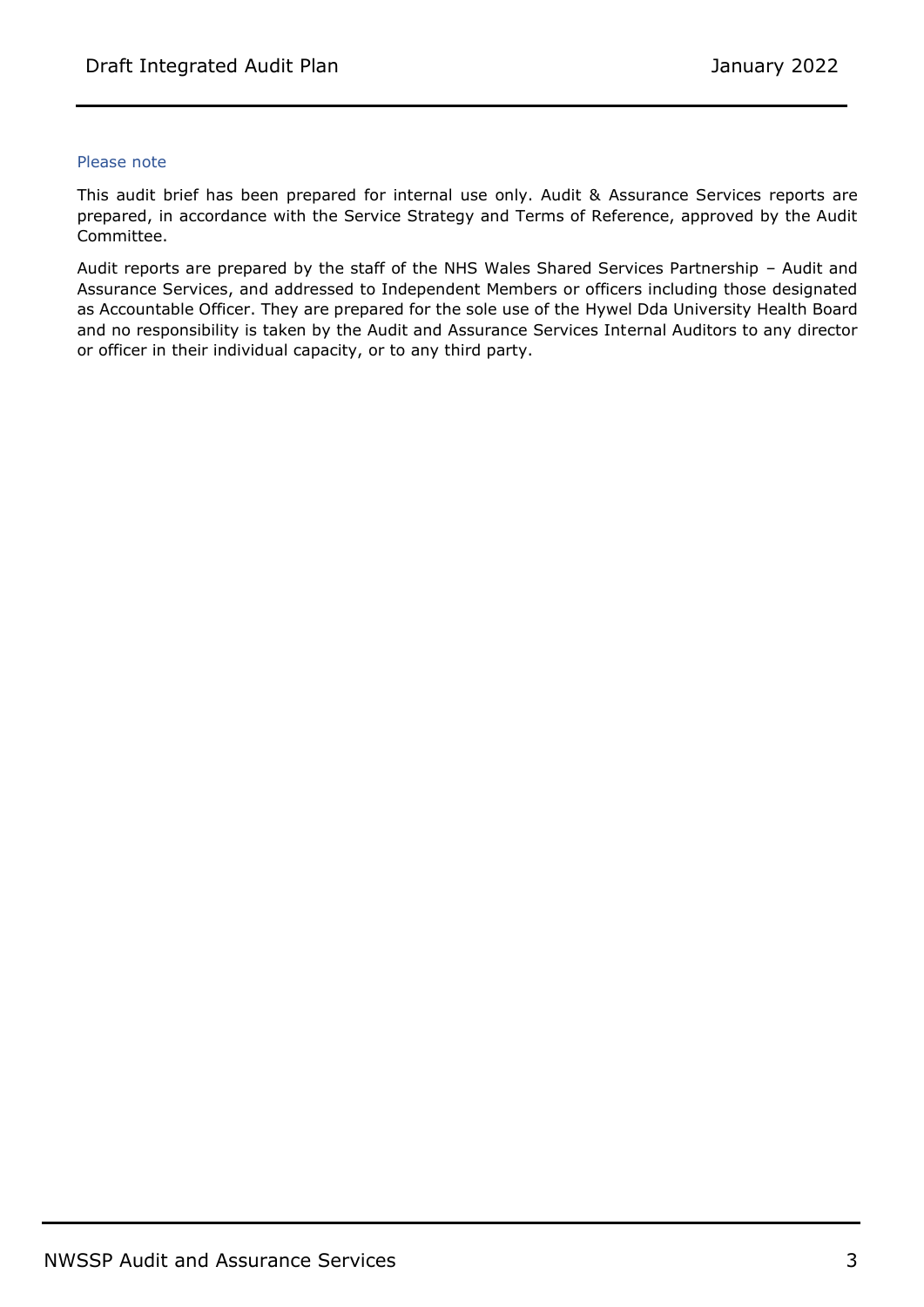#### Please note

This audit brief has been prepared for internal use only. Audit & Assurance Services reports are prepared, in accordance with the Service Strategy and Terms of Reference, approved by the Audit Committee.

<span id="page-2-0"></span>Audit reports are prepared by the staff of the NHS Wales Shared Services Partnership – Audit and Assurance Services, and addressed to Independent Members or officers including those designated as Accountable Officer. They are prepared for the sole use of the Hywel Dda University Health Board and no responsibility is taken by the Audit and Assurance Services Internal Auditors to any director or officer in their individual capacity, or to any third party.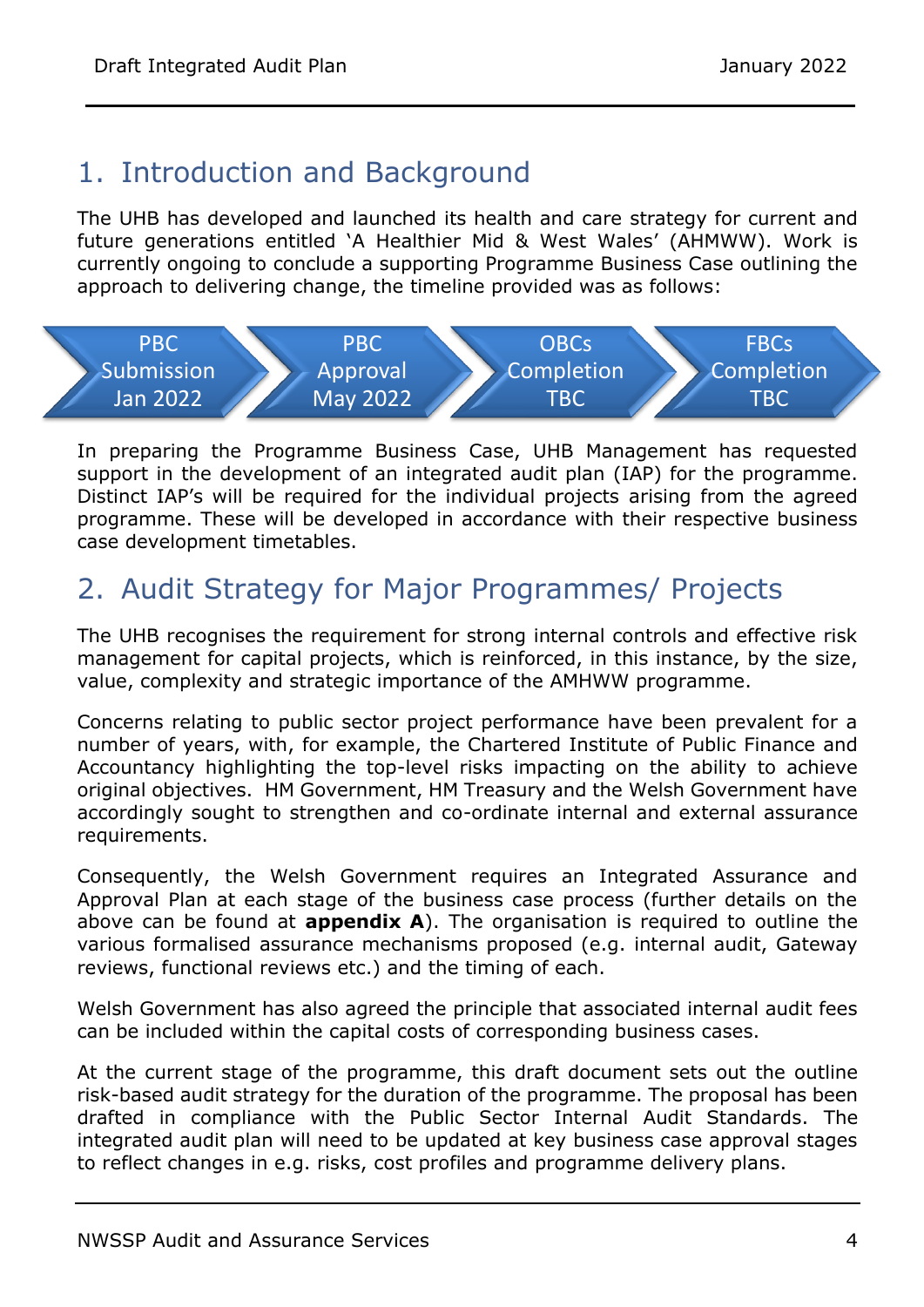## 1. Introduction and Background

The UHB has developed and launched its health and care strategy for current and future generations entitled 'A Healthier Mid & West Wales' (AHMWW). Work is currently ongoing to conclude a supporting Programme Business Case outlining the approach to delivering change, the timeline provided was as follows:



In preparing the Programme Business Case, UHB Management has requested support in the development of an integrated audit plan (IAP) for the programme. Distinct IAP's will be required for the individual projects arising from the agreed programme. These will be developed in accordance with their respective business case development timetables.

## <span id="page-3-0"></span>2. Audit Strategy for Major Programmes/ Projects

The UHB recognises the requirement for strong internal controls and effective risk management for capital projects, which is reinforced, in this instance, by the size, value, complexity and strategic importance of the AMHWW programme.

Concerns relating to public sector project performance have been prevalent for a number of years, with, for example, the Chartered Institute of Public Finance and Accountancy highlighting the top-level risks impacting on the ability to achieve original objectives. HM Government, HM Treasury and the Welsh Government have accordingly sought to strengthen and co-ordinate internal and external assurance requirements.

Consequently, the Welsh Government requires an Integrated Assurance and Approval Plan at each stage of the business case process (further details on the above can be found at **appendix A**). The organisation is required to outline the various formalised assurance mechanisms proposed (e.g. internal audit, Gateway reviews, functional reviews etc.) and the timing of each.

Welsh Government has also agreed the principle that associated internal audit fees can be included within the capital costs of corresponding business cases.

At the current stage of the programme, this draft document sets out the outline risk-based audit strategy for the duration of the programme. The proposal has been drafted in compliance with the Public Sector Internal Audit Standards. The integrated audit plan will need to be updated at key business case approval stages to reflect changes in e.g. risks, cost profiles and programme delivery plans.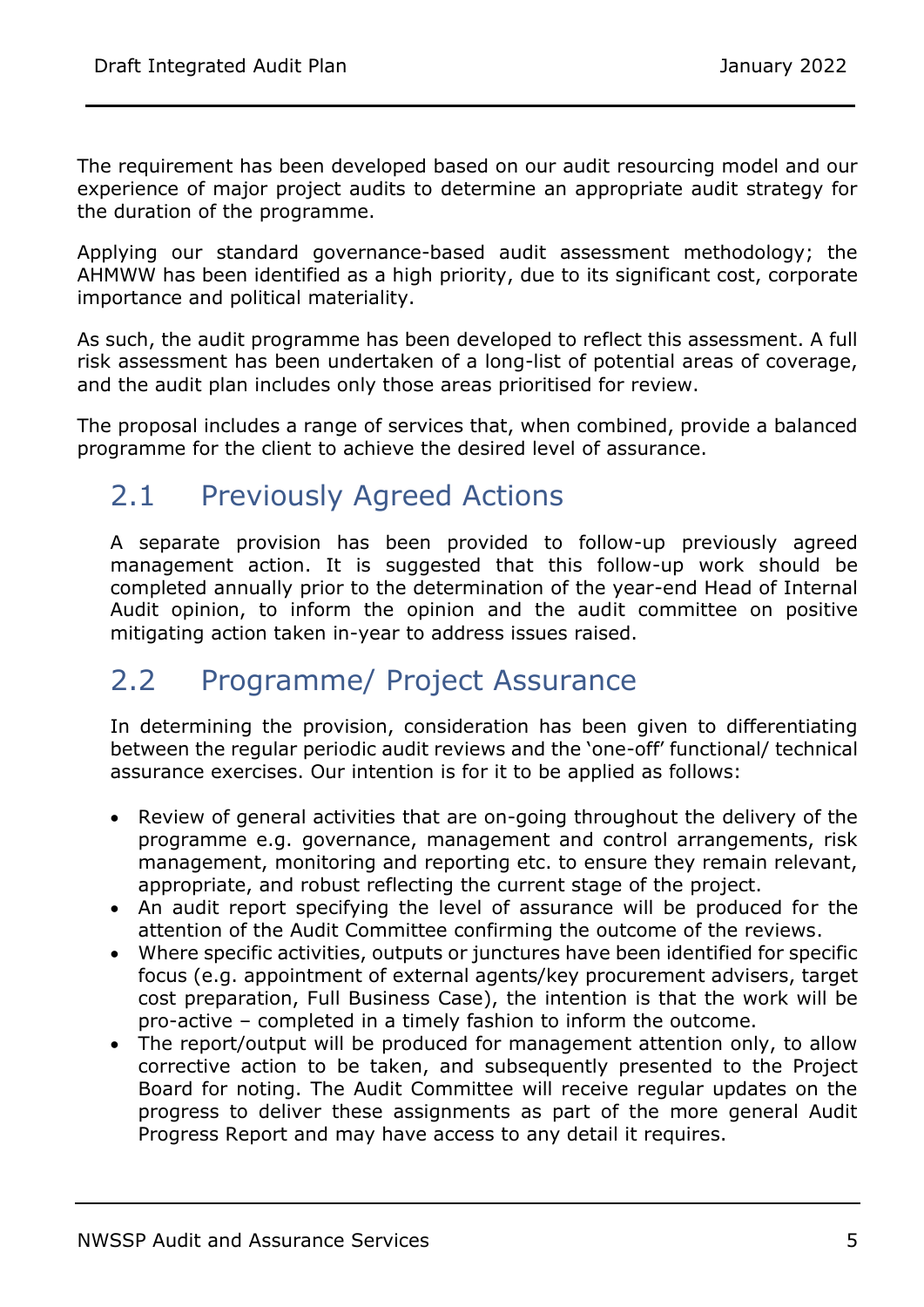The requirement has been developed based on our audit resourcing model and our experience of major project audits to determine an appropriate audit strategy for the duration of the programme.

Applying our standard governance-based audit assessment methodology; the AHMWW has been identified as a high priority, due to its significant cost, corporate importance and political materiality.

As such, the audit programme has been developed to reflect this assessment. A full risk assessment has been undertaken of a long-list of potential areas of coverage, and the audit plan includes only those areas prioritised for review.

<span id="page-4-0"></span>The proposal includes a range of services that, when combined, provide a balanced programme for the client to achieve the desired level of assurance.

## 2.1 Previously Agreed Actions

A separate provision has been provided to follow-up previously agreed management action. It is suggested that this follow-up work should be completed annually prior to the determination of the year-end Head of Internal Audit opinion, to inform the opinion and the audit committee on positive mitigating action taken in-year to address issues raised.

#### <span id="page-4-1"></span>2.2 Programme/ Project Assurance

In determining the provision, consideration has been given to differentiating between the regular periodic audit reviews and the 'one-off' functional/ technical assurance exercises. Our intention is for it to be applied as follows:

- Review of general activities that are on-going throughout the delivery of the programme e.g. governance, management and control arrangements, risk management, monitoring and reporting etc. to ensure they remain relevant, appropriate, and robust reflecting the current stage of the project.
- An audit report specifying the level of assurance will be produced for the attention of the Audit Committee confirming the outcome of the reviews.
- Where specific activities, outputs or junctures have been identified for specific focus (e.g. appointment of external agents/key procurement advisers, target cost preparation, Full Business Case), the intention is that the work will be pro-active – completed in a timely fashion to inform the outcome.
- The report/output will be produced for management attention only, to allow corrective action to be taken, and subsequently presented to the Project Board for noting. The Audit Committee will receive regular updates on the progress to deliver these assignments as part of the more general Audit Progress Report and may have access to any detail it requires.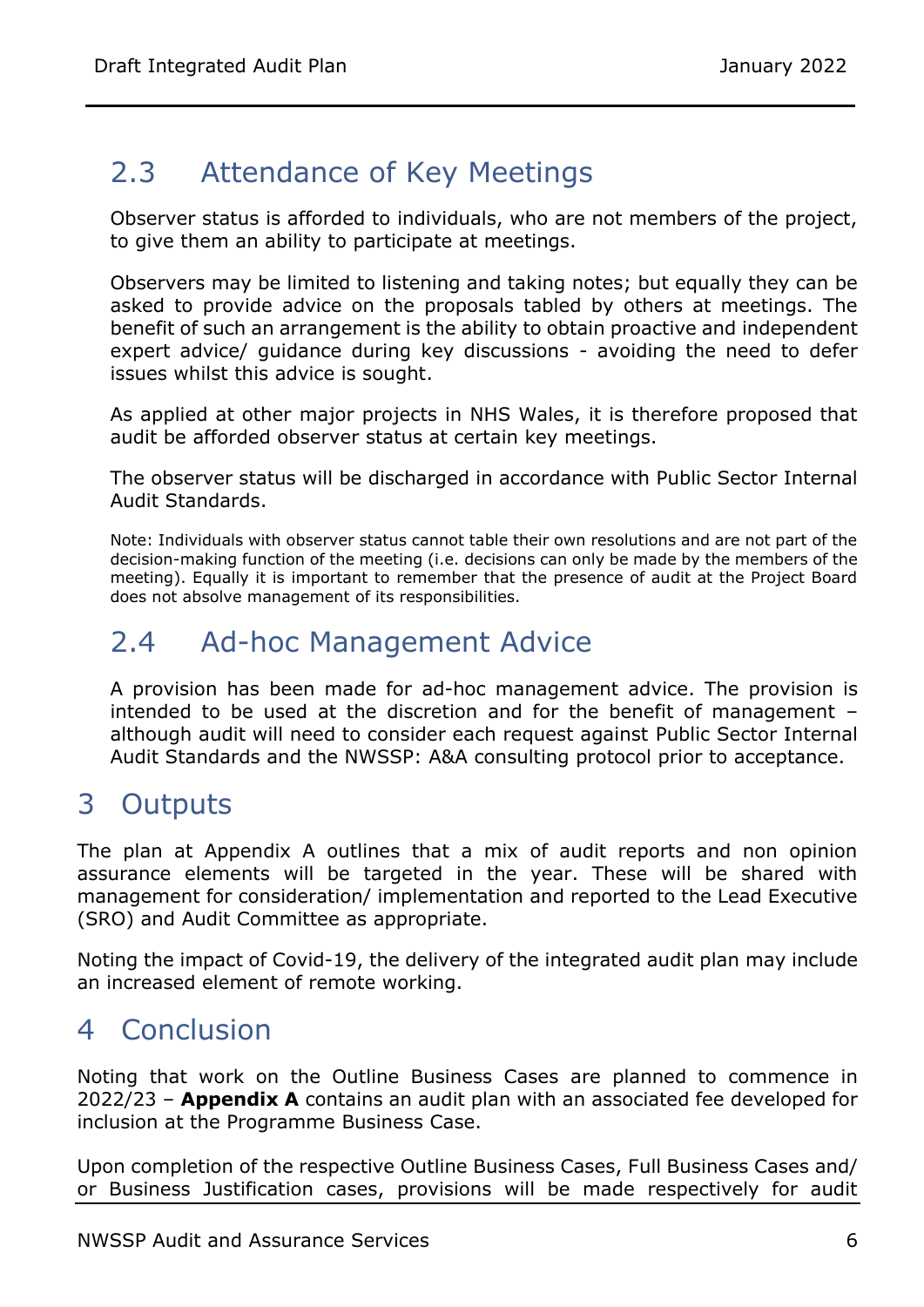## <span id="page-5-0"></span>2.3 Attendance of Key Meetings

Observer status is afforded to individuals, who are not members of the project, to give them an ability to participate at meetings.

Observers may be limited to listening and taking notes; but equally they can be asked to provide advice on the proposals tabled by others at meetings. The benefit of such an arrangement is the ability to obtain proactive and independent expert advice/ guidance during key discussions - avoiding the need to defer issues whilst this advice is sought.

As applied at other major projects in NHS Wales, it is therefore proposed that audit be afforded observer status at certain key meetings.

The observer status will be discharged in accordance with Public Sector Internal Audit Standards.

Note: Individuals with observer status cannot table their own resolutions and are not part of the decision-making function of the meeting (i.e. decisions can only be made by the members of the meeting). Equally it is important to remember that the presence of audit at the Project Board does not absolve management of its responsibilities.

## <span id="page-5-1"></span>2.4 Ad-hoc Management Advice

A provision has been made for ad-hoc management advice. The provision is intended to be used at the discretion and for the benefit of management – although audit will need to consider each request against Public Sector Internal Audit Standards and the NWSSP: A&A consulting protocol prior to acceptance.

#### <span id="page-5-2"></span>3 Outputs

The plan at Appendix A outlines that a mix of audit reports and non opinion assurance elements will be targeted in the year. These will be shared with management for consideration/ implementation and reported to the Lead Executive (SRO) and Audit Committee as appropriate.

Noting the impact of Covid-19, the delivery of the integrated audit plan may include an increased element of remote working.

#### <span id="page-5-3"></span>4 Conclusion

Noting that work on the Outline Business Cases are planned to commence in 2022/23 – **Appendix A** contains an audit plan with an associated fee developed for inclusion at the Programme Business Case.

Upon completion of the respective Outline Business Cases, Full Business Cases and/ or Business Justification cases, provisions will be made respectively for audit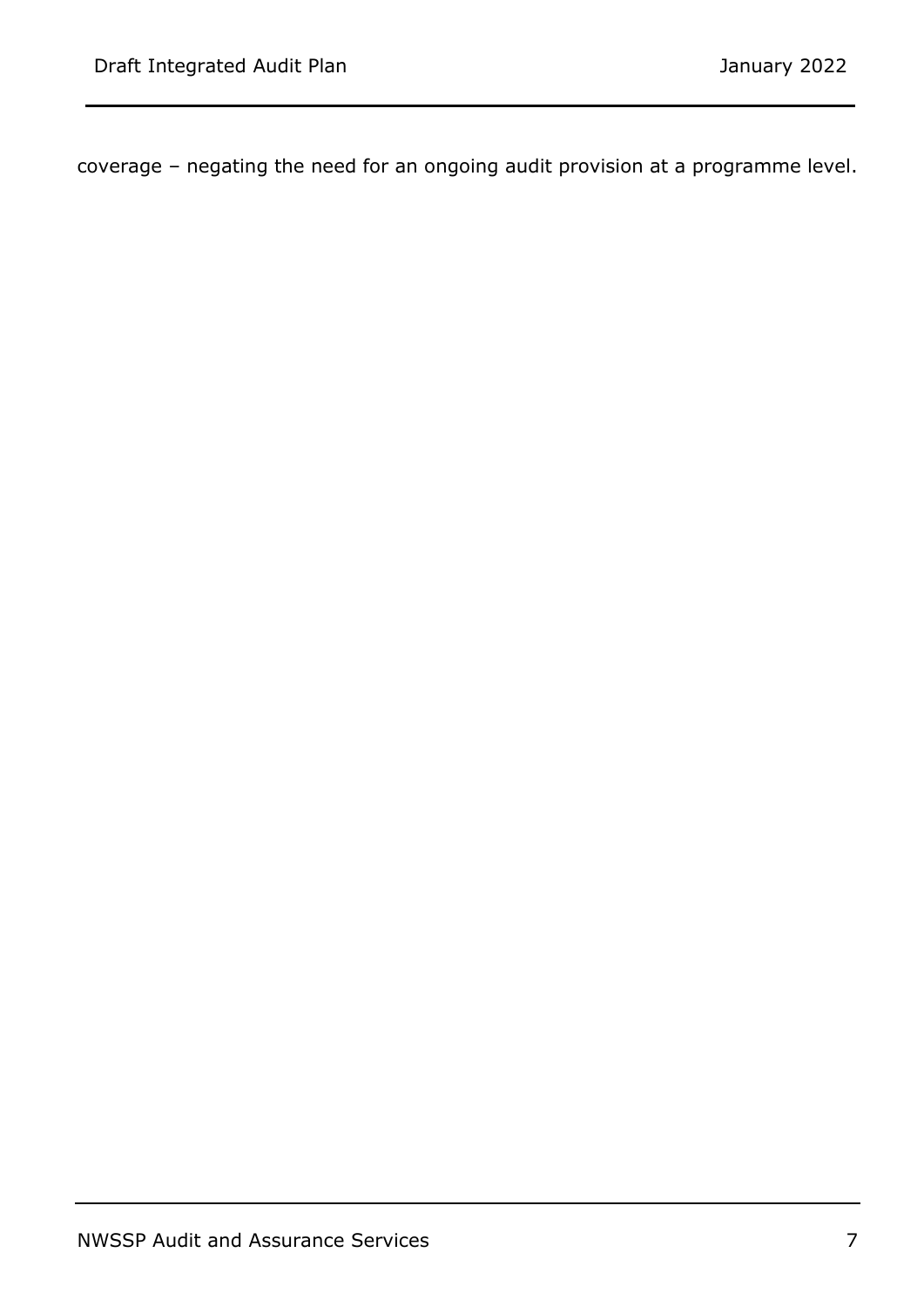<span id="page-6-0"></span>coverage – negating the need for an ongoing audit provision at a programme level.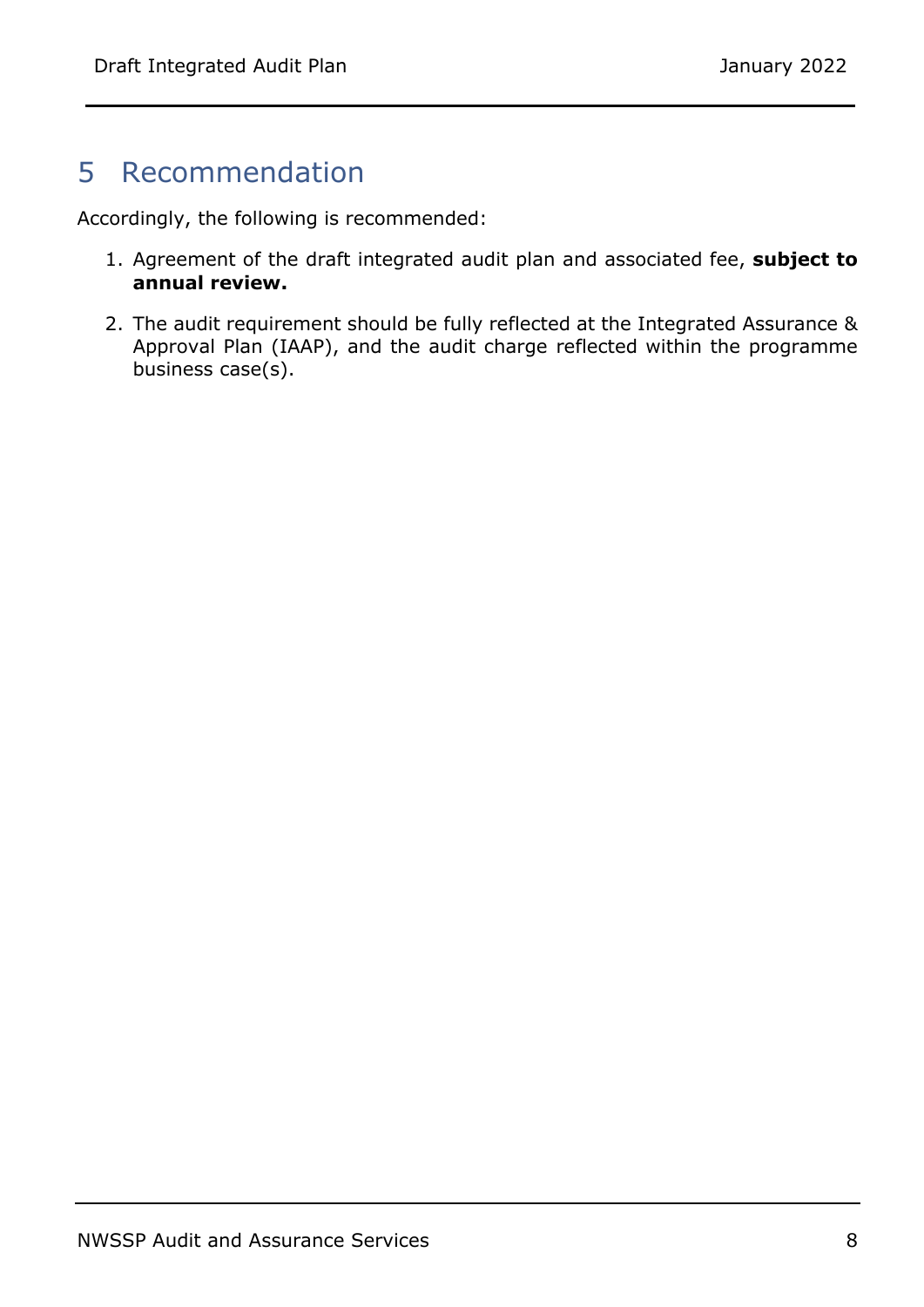#### 5 Recommendation

Accordingly, the following is recommended:

- 1. Agreement of the draft integrated audit plan and associated fee, **subject to annual review.**
- 2. The audit requirement should be fully reflected at the Integrated Assurance & Approval Plan (IAAP), and the audit charge reflected within the programme business case(s).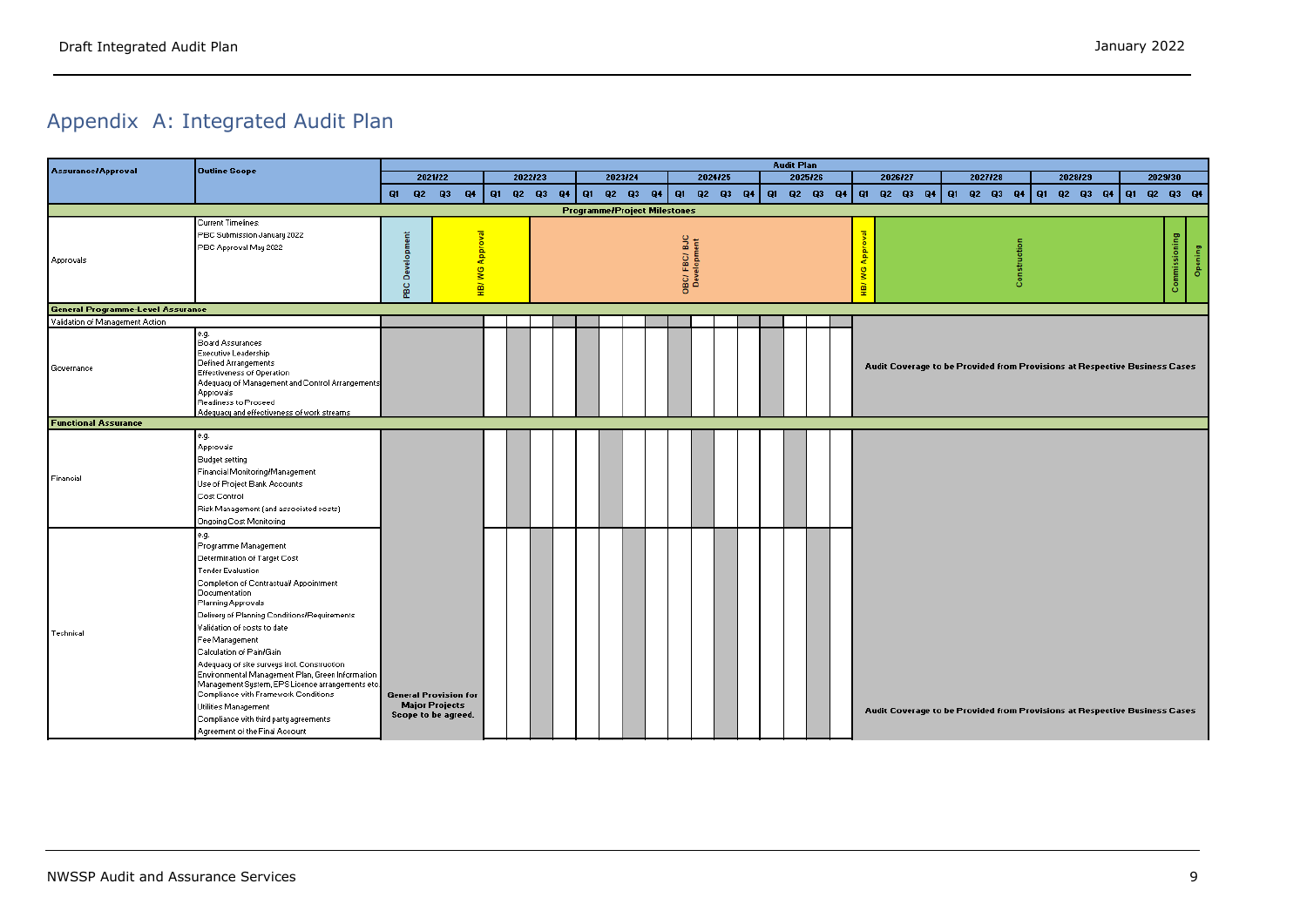## Appendix A: Integrated Audit Plan

| <b>Assurance/Approval</b>                | <b>Outline Scope</b>                                                                                                                                                                                                                                                                                                                                                                                                                                                                                                                                                                               |    |         |                                                                              |                         |          |    |          |                                     |    |                            |             |  | <b>Audit Plan</b> |         |                                    |  |                                                                            |  |  |  |   |  |                         |  |  |  |   |                 |
|------------------------------------------|----------------------------------------------------------------------------------------------------------------------------------------------------------------------------------------------------------------------------------------------------------------------------------------------------------------------------------------------------------------------------------------------------------------------------------------------------------------------------------------------------------------------------------------------------------------------------------------------------|----|---------|------------------------------------------------------------------------------|-------------------------|----------|----|----------|-------------------------------------|----|----------------------------|-------------|--|-------------------|---------|------------------------------------|--|----------------------------------------------------------------------------|--|--|--|---|--|-------------------------|--|--|--|---|-----------------|
|                                          |                                                                                                                                                                                                                                                                                                                                                                                                                                                                                                                                                                                                    |    | 2021/22 |                                                                              |                         | 2022/23  |    | 2023/24  |                                     |    |                            | 2024/25     |  |                   | 2025/26 | 2026/27<br>2027/28<br>2028/29      |  |                                                                            |  |  |  |   |  | 2029/30                 |  |  |  |   |                 |
|                                          |                                                                                                                                                                                                                                                                                                                                                                                                                                                                                                                                                                                                    | Q1 |         | $Q2$ $Q3$<br>Q4                                                              |                         | Q1 Q2 Q3 | Q4 | Q1 Q2 Q3 |                                     | Q4 |                            | Q1 Q2 Q3 Q4 |  |                   |         |                                    |  | Q1 Q2 Q3 Q4 Q1 Q2 Q3 Q4 Q1 Q2 Q3 Q4                                        |  |  |  |   |  | Q1 Q2 Q3 Q4 Q1 Q2 Q3 Q4 |  |  |  |   |                 |
|                                          |                                                                                                                                                                                                                                                                                                                                                                                                                                                                                                                                                                                                    |    |         |                                                                              |                         |          |    |          | <b>Programme/Project Milestones</b> |    |                            |             |  |                   |         |                                    |  |                                                                            |  |  |  |   |  |                         |  |  |  |   |                 |
| <b>Approvals</b>                         | <b>Current Timelines:</b><br>PBC Submission January 2022<br>PBC Approval May 2022                                                                                                                                                                                                                                                                                                                                                                                                                                                                                                                  |    | ٥<br>gc |                                                                              | <b>WG Approval</b><br>힆 |          |    |          |                                     |    | OBC/FBC/BJC<br>Development |             |  |                   |         | 휵<br>g<br>$\widetilde{\mathbb{E}}$ |  |                                                                            |  |  |  | 8 |  |                         |  |  |  | 8 | ning<br>ge<br>O |
| <b>General Programme-Level Assurance</b> |                                                                                                                                                                                                                                                                                                                                                                                                                                                                                                                                                                                                    |    |         |                                                                              |                         |          |    |          |                                     |    |                            |             |  |                   |         |                                    |  |                                                                            |  |  |  |   |  |                         |  |  |  |   |                 |
| Validation of Management Action          |                                                                                                                                                                                                                                                                                                                                                                                                                                                                                                                                                                                                    |    |         |                                                                              |                         |          |    |          |                                     |    |                            |             |  |                   |         |                                    |  |                                                                            |  |  |  |   |  |                         |  |  |  |   |                 |
| Governance                               | e.g.<br>Board Assurances<br>Executive Leadership<br>Defined Arrangements<br>Effectiveness of Operation<br>Adequacy of Management and Control Arrangements<br>Approvals<br>Readiness to Proceed<br>Adequacy and effectiveness of work streams                                                                                                                                                                                                                                                                                                                                                       |    |         |                                                                              |                         |          |    |          |                                     |    |                            |             |  |                   |         |                                    |  | Audit Coverage to be Provided from Provisions at Respective Business Cases |  |  |  |   |  |                         |  |  |  |   |                 |
| <b>Functional Assurance</b>              |                                                                                                                                                                                                                                                                                                                                                                                                                                                                                                                                                                                                    |    |         |                                                                              |                         |          |    |          |                                     |    |                            |             |  |                   |         |                                    |  |                                                                            |  |  |  |   |  |                         |  |  |  |   |                 |
| Financial                                | e.g.<br><b>Approvals</b><br><b>Budget setting</b><br>Financial Monitoring/Management<br>Use of Project Bank Accounts<br>Cost Control<br>Risk Management (and associated costs)<br>Ongoing Cost Monitoring                                                                                                                                                                                                                                                                                                                                                                                          |    |         |                                                                              |                         |          |    |          |                                     |    |                            |             |  |                   |         |                                    |  |                                                                            |  |  |  |   |  |                         |  |  |  |   |                 |
| Technical                                | e.g.<br>Programme Management<br>Determination of Target Cost<br>Tender Evaluation<br>Completion of Contractual/ Appointment<br>Documentation<br>Planning Approvals<br>Delivery of Planning Conditions/Requirements<br>Validation of costs to date<br>Fee Management<br>Calculation of Pain/Gain<br>Adequacy of site surveys incl. Construction<br>Environmental Management Plan, Green Information<br>Management System, EPS Licence arrangements etc.<br>Compliance with Framework Conditions<br>Utilities Management<br>Compliance with third party agreements<br>Agreement of the Final Account |    |         | <b>General Provision for</b><br><b>Major Projects</b><br>Scope to be agreed. |                         |          |    |          |                                     |    |                            |             |  |                   |         |                                    |  | Audit Coverage to be Provided from Provisions at Respective Business Cases |  |  |  |   |  |                         |  |  |  |   |                 |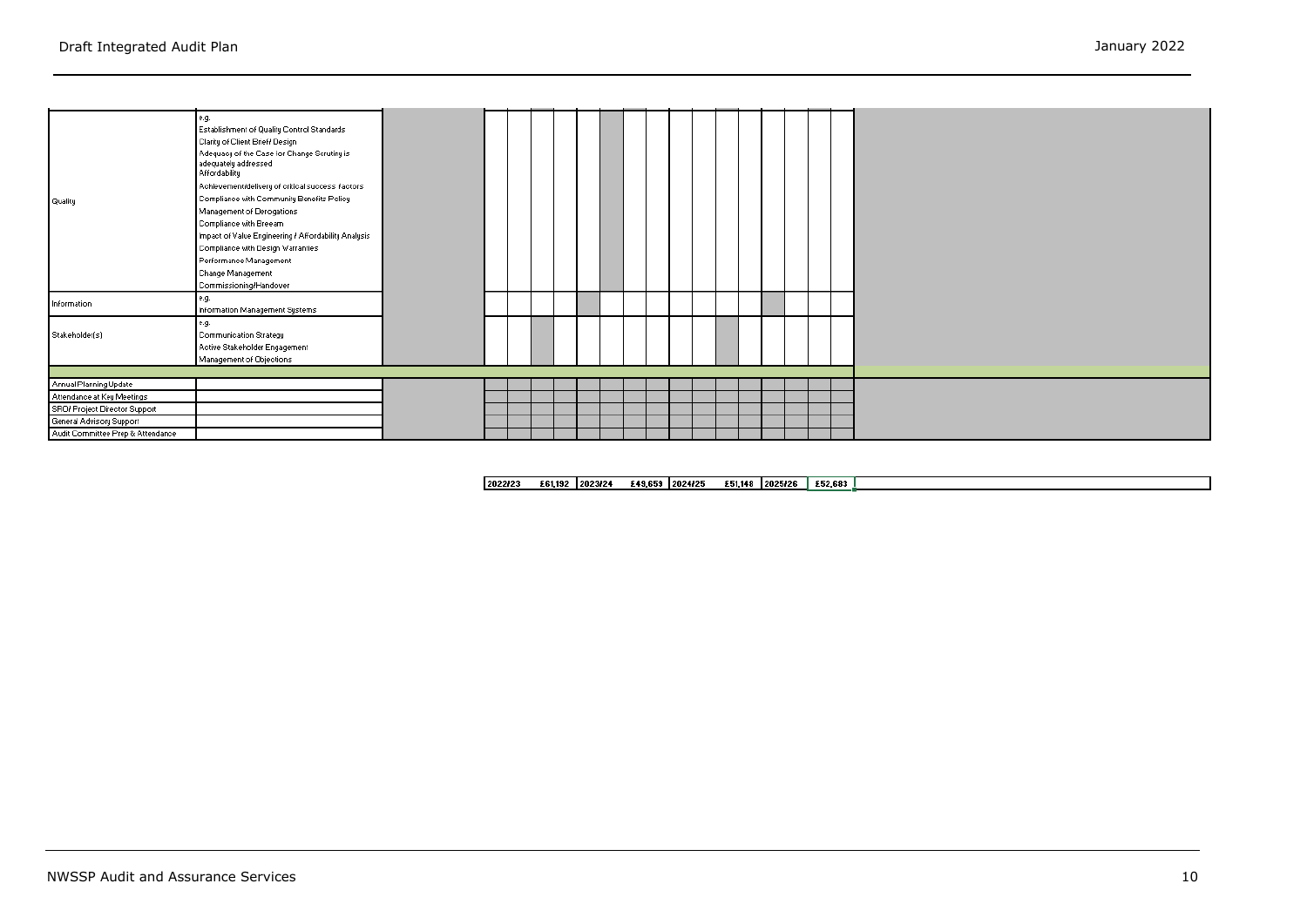| <b>Quality</b>                    | e.g.<br>Establishment of Quality Control Standards<br>Clarity of Client Brief/ Design<br>Adequacy of the Case for Change Scrutiny is<br>adequately addressed<br><b>Affordability</b><br>Achievement/delivery of critical success factors<br>Compliance with Community Benefits Policy<br>Management of Derogations<br>Compliance with Breeam<br>Impact of Value Engineering / Affordability Analysis<br>Compliance with Design Warranties<br>Performance Management |  |  |  |  |  |  |  |  |  |
|-----------------------------------|---------------------------------------------------------------------------------------------------------------------------------------------------------------------------------------------------------------------------------------------------------------------------------------------------------------------------------------------------------------------------------------------------------------------------------------------------------------------|--|--|--|--|--|--|--|--|--|
| Information                       | Change Management<br>Commissioning/Handover<br>e.g.<br>Information Management Systems                                                                                                                                                                                                                                                                                                                                                                               |  |  |  |  |  |  |  |  |  |
| Stakeholder(s)                    | e.g.<br>Communication Strategy<br>Active Stakeholder Engagement<br>Management of Objections                                                                                                                                                                                                                                                                                                                                                                         |  |  |  |  |  |  |  |  |  |
| Annual Planning Update            |                                                                                                                                                                                                                                                                                                                                                                                                                                                                     |  |  |  |  |  |  |  |  |  |
| Attendance at Key Meetings        |                                                                                                                                                                                                                                                                                                                                                                                                                                                                     |  |  |  |  |  |  |  |  |  |
| SRO/ Project Director Support     |                                                                                                                                                                                                                                                                                                                                                                                                                                                                     |  |  |  |  |  |  |  |  |  |
| General Advisory Support          |                                                                                                                                                                                                                                                                                                                                                                                                                                                                     |  |  |  |  |  |  |  |  |  |
| Audit Committee Prep & Attendance |                                                                                                                                                                                                                                                                                                                                                                                                                                                                     |  |  |  |  |  |  |  |  |  |

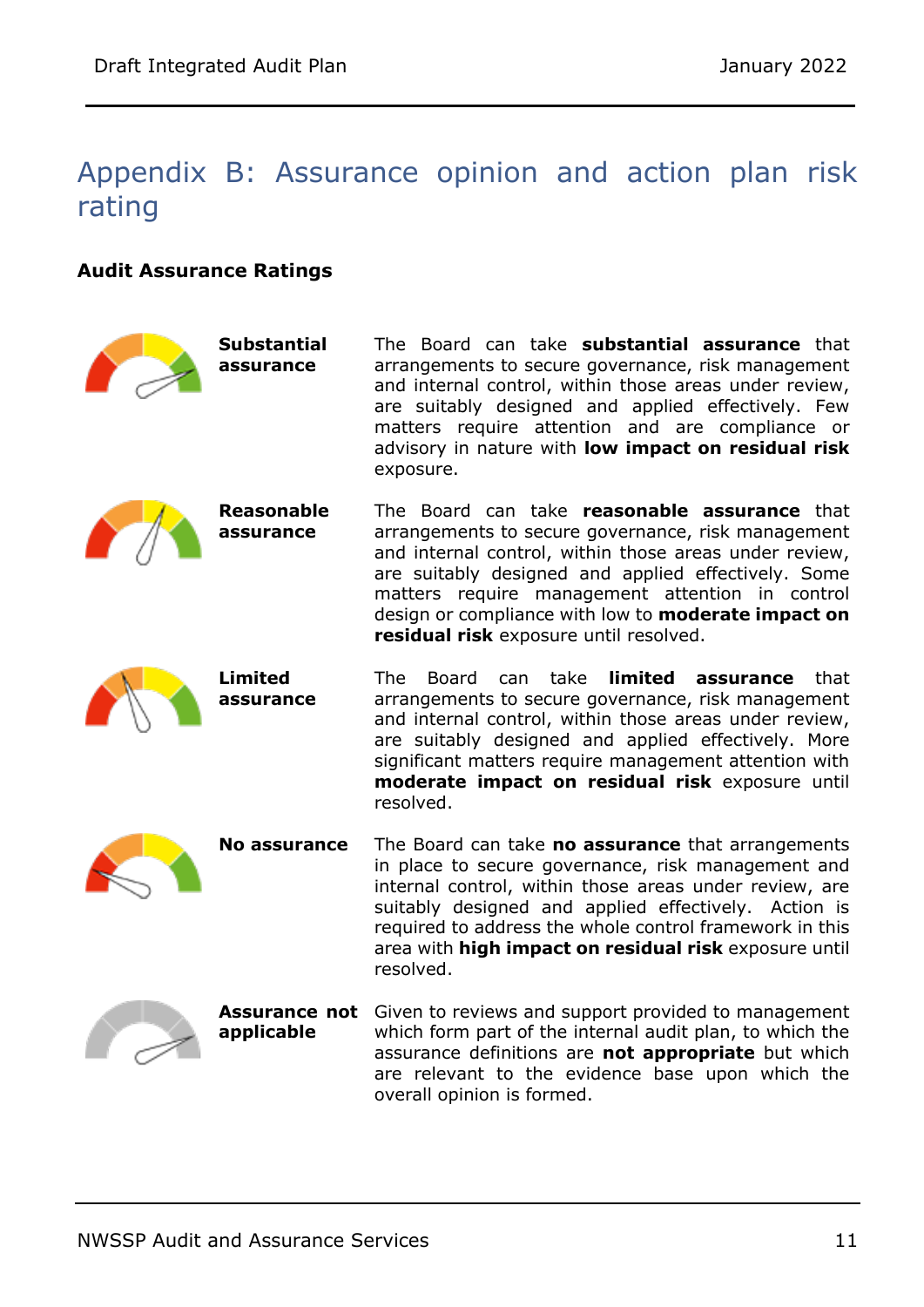#### Appendix B: Assurance opinion and action plan risk rating

#### **Audit Assurance Ratings**

| <b>Substantial</b><br>assurance    | The Board can take <b>substantial assurance</b> that<br>arrangements to secure governance, risk management<br>and internal control, within those areas under review,<br>are suitably designed and applied effectively. Few<br>matters require attention and are compliance or<br>advisory in nature with low impact on residual risk<br>exposure.                              |
|------------------------------------|--------------------------------------------------------------------------------------------------------------------------------------------------------------------------------------------------------------------------------------------------------------------------------------------------------------------------------------------------------------------------------|
| <b>Reasonable</b><br>assurance     | The Board can take reasonable assurance that<br>arrangements to secure governance, risk management<br>and internal control, within those areas under review,<br>are suitably designed and applied effectively. Some<br>matters require management attention in control<br>design or compliance with low to <b>moderate impact on</b><br>residual risk exposure until resolved. |
| <b>Limited</b><br>assurance        | can take<br>limited assurance<br>The<br>Board<br>that<br>arrangements to secure governance, risk management<br>and internal control, within those areas under review,<br>are suitably designed and applied effectively. More<br>significant matters require management attention with<br>moderate impact on residual risk exposure until<br>resolved.                          |
| <b>No assurance</b>                | The Board can take no assurance that arrangements<br>in place to secure governance, risk management and<br>internal control, within those areas under review, are<br>suitably designed and applied effectively. Action is<br>required to address the whole control framework in this<br>area with <b>high impact on residual risk</b> exposure until<br>resolved.              |
| <b>Assurance not</b><br>applicable | Given to reviews and support provided to management<br>which form part of the internal audit plan, to which the<br>assurance definitions are not appropriate but which<br>are relevant to the evidence base upon which the<br>overall opinion is formed.                                                                                                                       |